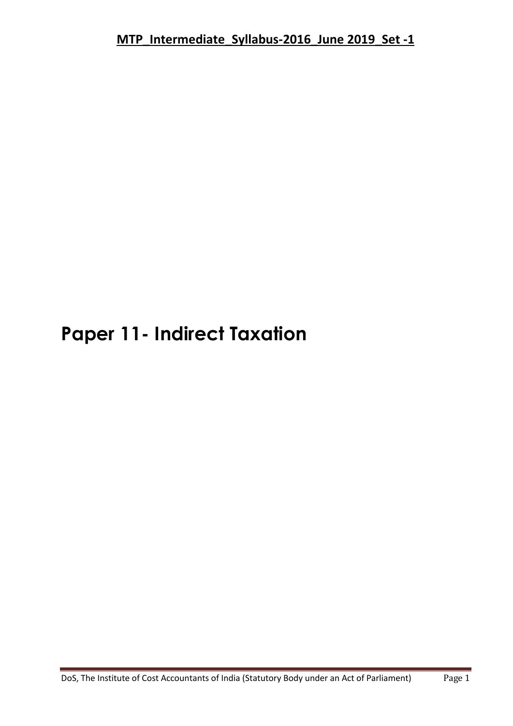# **Paper 11- Indirect Taxation**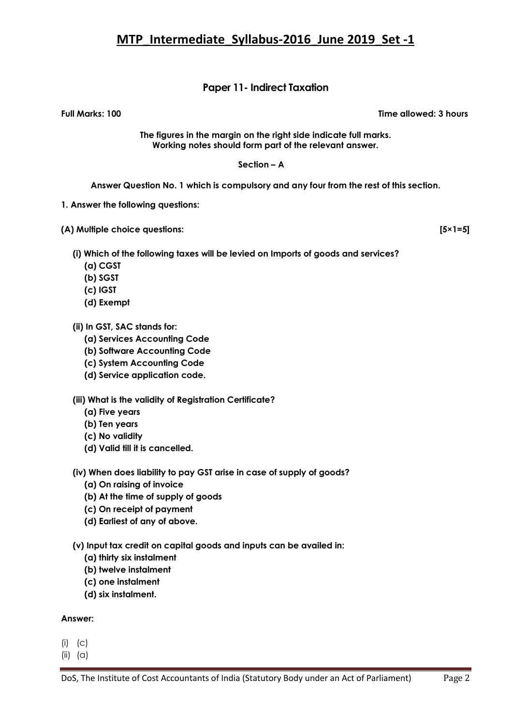### **Paper 11- Indirect Taxation**

**Full Marks: 100 Time allowed: 3 hours**

**The figures in the margin on the right side indicate full marks. Working notes should form part of the relevant answer.**

### **Section – A**

**Answer Question No. 1 which is compulsory and any four from the rest of this section.**

- **1. Answer the following questions:**
- **(A) Multiple choice questions: [5×1=5]**

- **(i) Which of the following taxes will be levied on Imports of goods and services?** 
	- **(a) CGST**
	- **(b) SGST**
	- **(c) IGST**
	- **(d) Exempt**

**(ii) In GST, SAC stands for:** 

- **(a) Services Accounting Code**
- **(b) Software Accounting Code**
- **(c) System Accounting Code**
- **(d) Service application code.**

**(iii) What is the validity of Registration Certificate?**

- **(a) Five years**
- **(b) Ten years**
- **(c) No validity**
- **(d) Valid till it is cancelled.**

#### **(iv) When does liability to pay GST arise in case of supply of goods?**

- **(a) On raising of invoice**
- **(b) At the time of supply of goods**
- **(c) On receipt of payment**
- **(d) Earliest of any of above.**

**(v) Input tax credit on capital goods and inputs can be availed in:** 

- **(a) thirty six instalment**
- **(b) twelve instalment**
- **(c) one instalment**
- **(d) six instalment.**

#### **Answer:**

- $(i)$   $(c)$
- $(ii)$   $(\alpha)$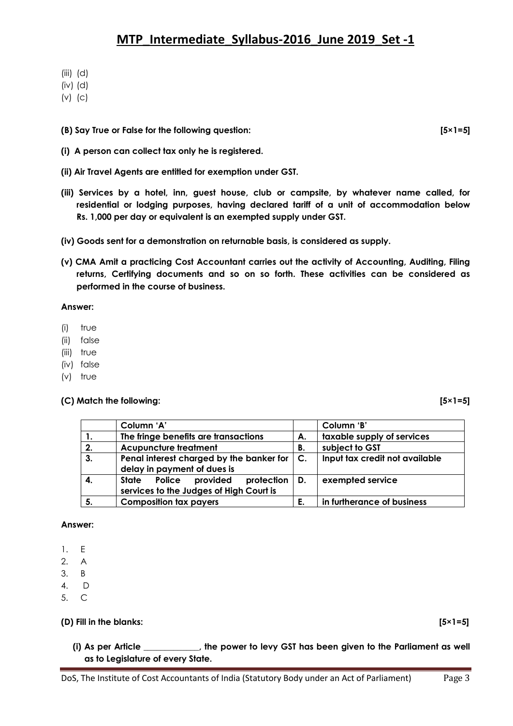- (iii) (d)
- (iv) (d)
- (v) (c)
- **(B) Say True or False for the following question: [5×1=5]**
- **(i) A person can collect tax only he is registered.**
- **(ii) Air Travel Agents are entitled for exemption under GST.**
- **(iii) Services by a hotel, inn, guest house, club or campsite, by whatever name called, for residential or lodging purposes, having declared tariff of a unit of accommodation below Rs. 1,000 per day or equivalent is an exempted supply under GST.**
- **(iv) Goods sent for a demonstration on returnable basis, is considered as supply.**
- **(v) CMA Amit a practicing Cost Accountant carries out the activity of Accounting, Auditing, Filing returns, Certifying documents and so on so forth. These activities can be considered as performed in the course of business.**

### **Answer:**

- (i) true
- (ii) false
- (iii) true
- (iv) false
- (v) true

### **(C) Match the following: [5×1=5]**

|    | Column 'A'                                                                                |    | Column 'B'                     |
|----|-------------------------------------------------------------------------------------------|----|--------------------------------|
| 1. | The fringe benefits are transactions                                                      | А. | taxable supply of services     |
| 2. | <b>Acupuncture treatment</b>                                                              | В. | subject to GST                 |
| 3. | Penal interest charged by the banker for $\vert$ C.<br>delay in payment of dues is        |    | Input tax credit not available |
| 4. | State Police provided<br>protection $\vert$ D.<br>services to the Judges of High Court is |    | exempted service               |
| 5. | <b>Composition tax payers</b>                                                             | E. | in furtherance of business     |

### **Answer:**

- 1. E
- 2. A
- 3. B
- 4. D
- 5. C

### **(D) Fill in the blanks: [5×1=5]**

**(i) As per Article \_\_\_\_\_\_\_\_\_\_\_\_\_, the power to levy GST has been given to the Parliament as well as to Legislature of every State.**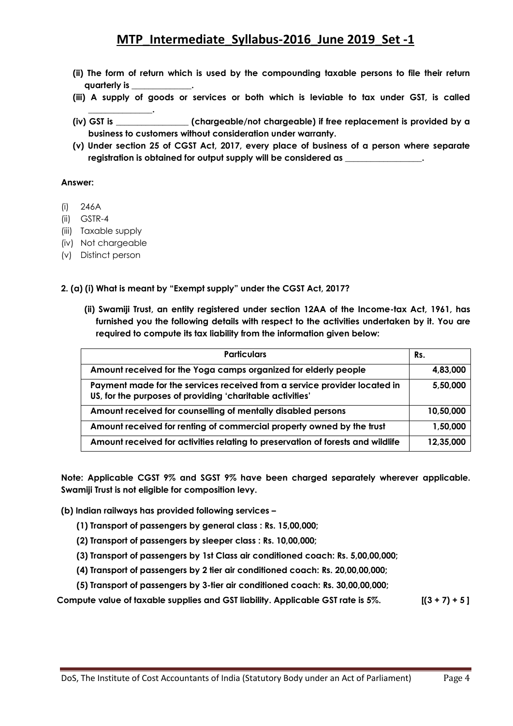- **(ii) The form of return which is used by the compounding taxable persons to file their return quarterly is \_\_\_\_\_\_\_\_\_\_\_\_\_\_.**
- **(iii) A supply of goods or services or both which is leviable to tax under GST, is called**
- **(iv) GST is \_\_\_\_\_\_\_\_\_\_\_\_\_\_\_\_\_ (chargeable/not chargeable) if free replacement is provided by a business to customers without consideration under warranty.**
- **(v) Under section 25 of CGST Act, 2017, every place of business of a person where separate registration is obtained for output supply will be considered as \_\_\_\_\_\_\_\_\_\_\_\_\_\_\_\_\_\_.**

### **Answer:**

- (i) 246A
- (ii) GSTR-4
- (iii) Taxable supply
- (iv) Not chargeable

**\_\_\_\_\_\_\_\_\_\_\_\_\_\_\_.**

(v) Distinct person

### 2. (a) (i) What is meant by "Exempt supply" under the CGST Act, 2017?

**(ii) Swamiji Trust, an entity registered under section 12AA of the Income-tax Act, 1961, has furnished you the following details with respect to the activities undertaken by it. You are required to compute its tax liability from the information given below:**

| <b>Particulars</b>                                                                                                                     | Rs.       |
|----------------------------------------------------------------------------------------------------------------------------------------|-----------|
| Amount received for the Yoga camps organized for elderly people                                                                        | 4,83,000  |
| Payment made for the services received from a service provider located in<br>US, for the purposes of providing 'charitable activities' | 5,50,000  |
| Amount received for counselling of mentally disabled persons                                                                           | 10,50,000 |
| Amount received for renting of commercial property owned by the trust                                                                  | 1,50,000  |
| Amount received for activities relating to preservation of forests and wildlife                                                        | 12,35,000 |

**Note: Applicable CGST 9% and SGST 9% have been charged separately wherever applicable. Swamiji Trust is not eligible for composition levy.**

**(b) Indian railways has provided following services –**

- **(1) Transport of passengers by general class : Rs. 15,00,000;**
- **(2) Transport of passengers by sleeper class : Rs. 10,00,000;**
- **(3) Transport of passengers by 1st Class air conditioned coach: Rs. 5,00,00,000;**
- **(4) Transport of passengers by 2 tier air conditioned coach: Rs. 20,00,00,000;**
- **(5) Transport of passengers by 3-tier air conditioned coach: Rs. 30,00,00,000;**

**Compute value of taxable supplies and GST liability. Applicable GST rate is 5%. [(3 + 7) + 5 ]**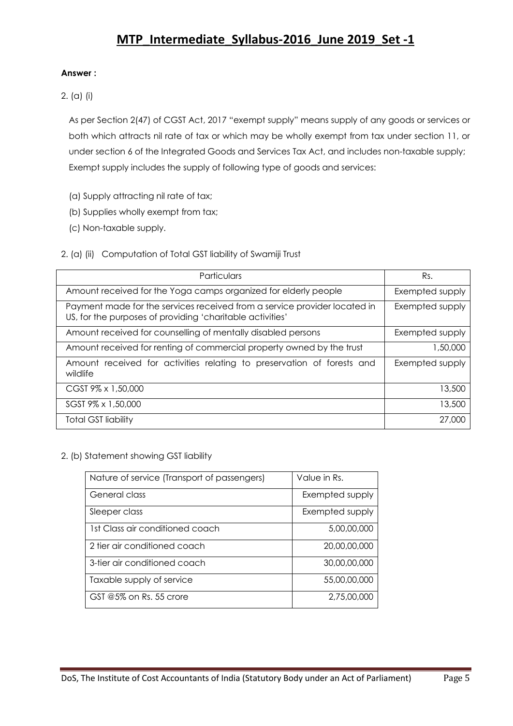### **Answer :**

2. (a) (i)

As per Section 2(47) of CGST Act, 2017 "exempt supply" means supply of any goods or services or both which attracts nil rate of tax or which may be wholly exempt from tax under section 11, or under section 6 of the Integrated Goods and Services Tax Act, and includes non-taxable supply; Exempt supply includes the supply of following type of goods and services:

- (a) Supply attracting nil rate of tax;
- (b) Supplies wholly exempt from tax;
- (c) Non-taxable supply.

### 2. (a) (ii) Computation of Total GST liability of Swamiji Trust

| Particulars                                                                                                                            | Rs.             |
|----------------------------------------------------------------------------------------------------------------------------------------|-----------------|
| Amount received for the Yoga camps organized for elderly people                                                                        | Exempted supply |
| Payment made for the services received from a service provider located in<br>US, for the purposes of providing 'charitable activities' | Exempted supply |
| Amount received for counselling of mentally disabled persons                                                                           | Exempted supply |
| Amount received for renting of commercial property owned by the trust                                                                  | 1,50,000        |
| Amount received for activities relating to preservation of forests and<br>wildlife                                                     | Exempted supply |
| CGST 9% x 1,50,000                                                                                                                     | 13,500          |
| SGST 9% x 1,50,000                                                                                                                     | 13,500          |
| <b>Total GST liability</b>                                                                                                             | 27,000          |

### 2. (b) Statement showing GST liability

| Nature of service (Transport of passengers) | Value in Rs.    |
|---------------------------------------------|-----------------|
| General class                               | Exempted supply |
| Sleeper class                               | Exempted supply |
| 1st Class air conditioned coach             | 5,00,00,000     |
| 2 tier air conditioned coach                | 20,00,00,000    |
| 3-tier air conditioned coach                | 30,00,00,000    |
| Taxable supply of service                   | 55,00,00,000    |
| GST $@5\%$ on Rs. 55 crore                  | 2,75,00,000     |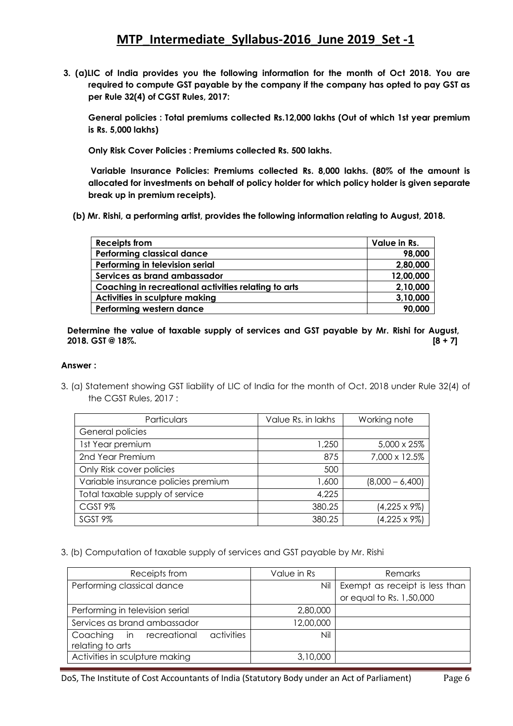**3. (a)LIC of India provides you the following information for the month of Oct 2018. You are required to compute GST payable by the company if the company has opted to pay GST as per Rule 32(4) of CGST Rules, 2017:** 

 **General policies : Total premiums collected Rs.12,000 lakhs (Out of which 1st year premium is Rs. 5,000 lakhs)** 

 **Only Risk Cover Policies : Premiums collected Rs. 500 lakhs.** 

 **Variable Insurance Policies: Premiums collected Rs. 8,000 lakhs. (80% of the amount is allocated for investments on behalf of policy holder for which policy holder is given separate break up in premium receipts).**

 **(b) Mr. Rishi, a performing artist, provides the following information relating to August, 2018.**

| <b>Receipts from</b>                                 | Value in Rs. |
|------------------------------------------------------|--------------|
| <b>Performing classical dance</b>                    | 98,000       |
| Performing in television serial                      | 2,80,000     |
| Services as brand ambassador                         | 12,00,000    |
| Coaching in recreational activities relating to arts | 2,10,000     |
| Activities in sculpture making                       | 3,10,000     |
| Performing western dance                             | 90,000       |

**Determine the value of taxable supply of services and GST payable by Mr. Rishi for August, 2018. GST @ 18%. [8 + 7]**

### **Answer :**

3. (a) Statement showing GST liability of LIC of India for the month of Oct. 2018 under Rule 32(4) of the CGST Rules, 2017 :

| Particulars                         | Value Rs. in lakhs | Working note         |
|-------------------------------------|--------------------|----------------------|
| General policies                    |                    |                      |
| 1st Year premium                    | 1,250              | 5,000 x 25%          |
| 2nd Year Premium                    | 875                | 7,000 x 12.5%        |
| Only Risk cover policies            | 500                |                      |
| Variable insurance policies premium | 1,600              | $(8,000 - 6,400)$    |
| Total taxable supply of service     | 4,225              |                      |
| CGST <sub>9%</sub>                  | 380.25             | $(4,225 \times 9\%)$ |
| SGST <sub>9%</sub>                  | 380.25             | $(4,225 \times 9\%)$ |

3. (b) Computation of taxable supply of services and GST payable by Mr. Rishi

| Receipts from                                                 | Value in Rs | Remarks                        |
|---------------------------------------------------------------|-------------|--------------------------------|
| Performing classical dance                                    | Nil         | Exempt as receipt is less than |
|                                                               |             | or equal to Rs. 1,50,000       |
| Performing in television serial                               | 2,80,000    |                                |
| Services as brand ambassador                                  | 12,00,000   |                                |
| activities<br>Coaching in<br>recreational<br>relating to arts | Nil         |                                |
| Activities in sculpture making                                | 3,10,000    |                                |

DoS, The Institute of Cost Accountants of India (Statutory Body under an Act of Parliament) Page 6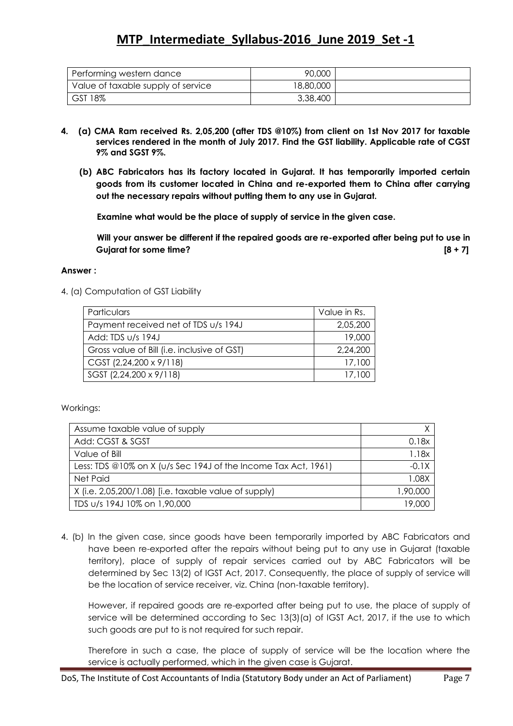| Performing western dance           | 90,000    |  |
|------------------------------------|-----------|--|
| Value of taxable supply of service | 18,80,000 |  |
| GST 18%                            | 3,38,400  |  |

- **4. (a) CMA Ram received Rs. 2,05,200 (after TDS @10%) from client on 1st Nov 2017 for taxable services rendered in the month of July 2017. Find the GST liability. Applicable rate of CGST 9% and SGST 9%.**
	- **(b) ABC Fabricators has its factory located in Gujarat. It has temporarily imported certain goods from its customer located in China and re-exported them to China after carrying out the necessary repairs without putting them to any use in Gujarat.**

 **Examine what would be the place of supply of service in the given case.** 

 **Will your answer be different if the repaired goods are re-exported after being put to use in Gujarat for some time? [8 + 7]**

### **Answer :**

4. (a) Computation of GST Liability

| Particulars                                 | Value in Rs. |
|---------------------------------------------|--------------|
| Payment received net of TDS u/s 194J        | 2,05,200     |
| Add: TDS u/s 194J                           | 19,000       |
| Gross value of Bill (i.e. inclusive of GST) | 2,24,200     |
| CGST (2,24,200 x 9/118)                     | 17,100       |
| SGST (2,24,200 x 9/118)                     | 17,100       |

Workings:

| Assume taxable value of supply                                    |          |
|-------------------------------------------------------------------|----------|
| Add: CGST & SGST                                                  | 0.18x    |
| Value of Bill                                                     | 1.18x    |
| Less: TDS @10% on X ( $u/s$ Sec 194J of the Income Tax Act, 1961) | $-0.1X$  |
| Net Paid                                                          | 1.08X    |
| X (i.e. 2,05,200/1.08) [i.e. taxable value of supply)             | 1,90,000 |
| TDS u/s 194J 10% on 1,90,000                                      | 19.000   |

4. (b) In the given case, since goods have been temporarily imported by ABC Fabricators and have been re-exported after the repairs without being put to any use in Gujarat (taxable territory), place of supply of repair services carried out by ABC Fabricators will be determined by Sec 13(2) of IGST Act, 2017. Consequently, the place of supply of service will be the location of service receiver, viz. China (non-taxable territory).

However, if repaired goods are re-exported after being put to use, the place of supply of service will be determined according to Sec 13(3)(a) of IGST Act, 2017, if the use to which such goods are put to is not required for such repair.

Therefore in such a case, the place of supply of service will be the location where the service is actually performed, which in the given case is Gujarat.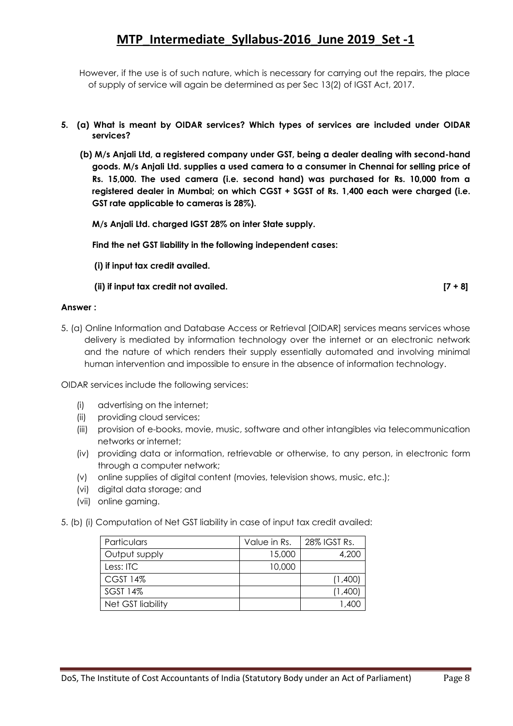However, if the use is of such nature, which is necessary for carrying out the repairs, the place of supply of service will again be determined as per Sec 13(2) of IGST Act, 2017.

- **5. (a) What is meant by OIDAR services? Which types of services are included under OIDAR services?**
	- **(b) M/s Anjali Ltd, a registered company under GST, being a dealer dealing with second-hand goods. M/s Anjali Ltd. supplies a used camera to a consumer in Chennai for selling price of Rs. 15,000. The used camera (i.e. second hand) was purchased for Rs. 10,000 from a registered dealer in Mumbai; on which CGST + SGST of Rs. 1,400 each were charged (i.e. GST rate applicable to cameras is 28%).**

 **M/s Anjali Ltd. charged IGST 28% on inter State supply.** 

 **Find the net GST liability in the following independent cases:** 

 **(i) if input tax credit availed.**

 **(ii) if input tax credit not availed. [7 + 8]**

**Answer :**

5. (a) Online Information and Database Access or Retrieval [OIDAR] services means services whose delivery is mediated by information technology over the internet or an electronic network and the nature of which renders their supply essentially automated and involving minimal human intervention and impossible to ensure in the absence of information technology.

OIDAR services include the following services:

- (i) advertising on the internet;
- (ii) providing cloud services;
- (iii) provision of e-books, movie, music, software and other intangibles via telecommunication networks or internet;
- (iv) providing data or information, retrievable or otherwise, to any person, in electronic form through a computer network;
- (v) online supplies of digital content (movies, television shows, music, etc.);
- (vi) digital data storage; and
- (vii) online gaming.

5. (b) (i) Computation of Net GST liability in case of input tax credit availed:

| Particulars       | Value in Rs. | 28% IGST Rs. |
|-------------------|--------------|--------------|
| Output supply     | 15,000       | 4,200        |
| Less: ITC         | 10,000       |              |
| <b>CGST 14%</b>   |              | (1,400)      |
| SGST 14%          |              | (1,400)      |
| Net GST liability |              |              |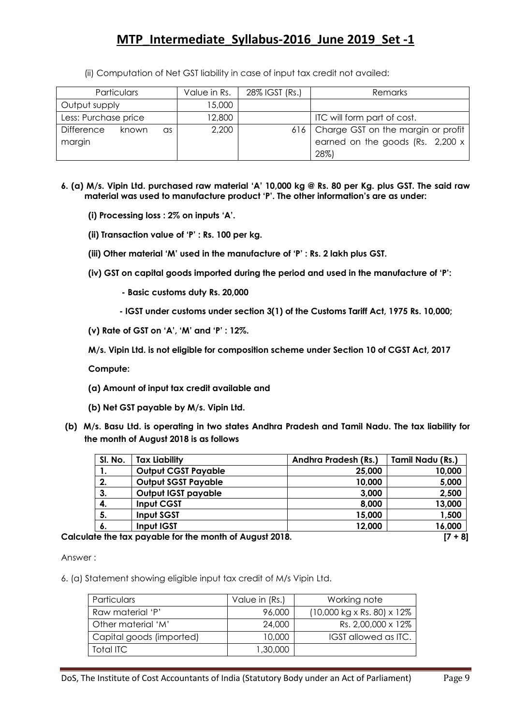(ii) Computation of Net GST liability in case of input tax credit not availed:

| <b>Particulars</b>        | Value in Rs. | 28% IGST (Rs.) | <b>Remarks</b>                           |
|---------------------------|--------------|----------------|------------------------------------------|
| Output supply             | 15,000       |                |                                          |
| Less: Purchase price      | 12,800       |                | ITC will form part of cost.              |
| Difference<br>known<br>as | 2,200        |                | 616   Charge GST on the margin or profit |
| margin                    |              |                | earned on the goods (Rs. 2,200 x         |
|                           |              |                | 28%)                                     |

- **6. (a) M/s. Vipin Ltd. purchased raw material ‗A' 10,000 kg @ Rs. 80 per Kg. plus GST. The said raw material was used to manufacture product ‗P'. The other information's are as under:** 
	- **(i) Processing loss : 2% on inputs ‗A'.**
	- **(ii) Transaction value of ‗P' : Rs. 100 per kg.**
	- **(iii) Other material ‗M' used in the manufacture of ‗P' : Rs. 2 lakh plus GST.**
	- **(iv) GST on capital goods imported during the period and used in the manufacture of ‗P':**
		- **- Basic customs duty Rs. 20,000**
		- **- IGST under customs under section 3(1) of the Customs Tariff Act, 1975 Rs. 10,000;**
	- **(v) Rate of GST on ‗A', ‗M' and ‗P' : 12%.**

**M/s. Vipin Ltd. is not eligible for composition scheme under Section 10 of CGST Act, 2017**

**Compute:** 

- **(a) Amount of input tax credit available and**
- **(b) Net GST payable by M/s. Vipin Ltd.**
- **(b) M/s. Basu Ltd. is operating in two states Andhra Pradesh and Tamil Nadu. The tax liability for the month of August 2018 is as follows**

| SI. No.                                                               | <b>Tax Liability</b>       | <b>Andhra Pradesh (Rs.)</b> | Tamil Nadu (Rs.) |  |  |  |
|-----------------------------------------------------------------------|----------------------------|-----------------------------|------------------|--|--|--|
| .,                                                                    | <b>Output CGST Payable</b> | 25,000                      | 10,000           |  |  |  |
| 2.                                                                    | <b>Output SGST Payable</b> | 10,000                      | 5,000            |  |  |  |
| 3.                                                                    | Output IGST payable        | 3,000                       | 2,500            |  |  |  |
| 4.                                                                    | <b>Input CGST</b>          | 8,000                       | 13,000           |  |  |  |
| 5.                                                                    | Input SGST                 | 15,000                      | 1,500            |  |  |  |
| 6.                                                                    | Input IGST                 | 12,000                      | 16,000           |  |  |  |
| the then there is accepted a finite the constitution of Accepted OO10 |                            |                             |                  |  |  |  |

**Calculate the tax payable for the month of August 2018. [7 + 8]**

Answer :

6. (a) Statement showing eligible input tax credit of M/s Vipin Ltd.

| Particulars              | Value in (Rs.) | Working note                                           |
|--------------------------|----------------|--------------------------------------------------------|
| Raw material 'P'         | 96,000         | $(10,000 \text{ kg} \times \text{Rs.} 80) \times 12\%$ |
| Other material 'M'       | 24,000         | Rs. 2,00,000 x 12%                                     |
| Capital goods (imported) | 10,000         | IGST allowed as ITC.                                   |
| Total ITC                | 1,30,000       |                                                        |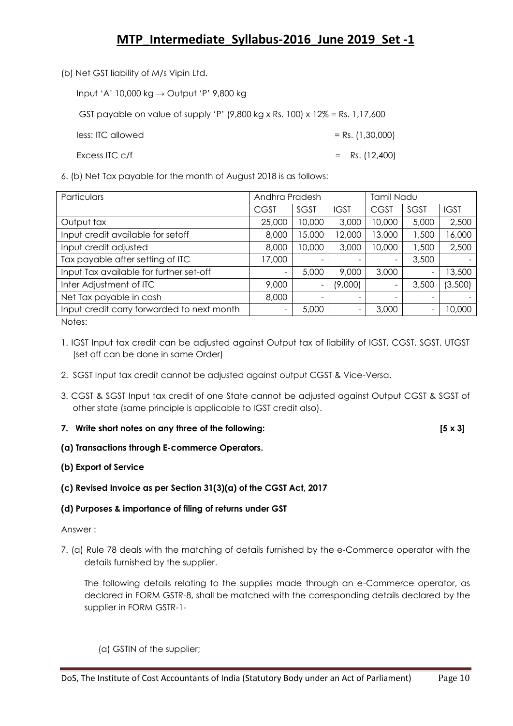(b) Net GST liability of M/s Vipin Ltd.

Input ‗A' 10,000 kg → Output ‗P' 9,800 kg

GST payable on value of supply 'P'  $(9,800 \text{ kg} \times \text{Rs.} 100) \times 12\% = \text{Rs.} 1,17,600$ 

 $\ell$  less: ITC allowed  $\ell$  = Rs. (1,30,000)

Excess ITC  $c/f$  = Rs. (12,400)

6. (b) Net Tax payable for the month of August 2018 is as follows:

| Particulars<br>Andhra Pradesh              |                   |        |             | Tamil Nadu               |       |             |
|--------------------------------------------|-------------------|--------|-------------|--------------------------|-------|-------------|
|                                            | <b>CGST</b>       | SGST   | <b>IGST</b> | <b>CGST</b>              | SGST  | <b>IGST</b> |
| Output tax                                 | 25,000            | 10,000 | 3,000       | 10,000                   | 5,000 | 2,500       |
| Input credit available for setoff          | 8,000             | 15,000 | 12,000      | 13,000                   | 1,500 | 6,000       |
| Input credit adjusted                      | 8,000             | 10,000 | 3,000       | 10,000                   | 1,500 | 2,500       |
| Tax payable after setting of ITC           | 17,000            |        |             | $\overline{\phantom{a}}$ | 3,500 |             |
| Input Tax available for further set-off    | $\qquad \qquad -$ | 5,000  | 9,000       | 3,000                    |       | 13,500      |
| Inter Adjustment of ITC                    | 9,000             |        | (9,000)     | $\overline{\phantom{m}}$ | 3,500 | (3,500)     |
| Net Tax payable in cash                    | 8,000             |        |             |                          |       |             |
| Input credit carry forwarded to next month |                   | 5,000  | -           | 3,000                    |       | 10,000      |

Notes:

- 1. IGST Input tax credit can be adjusted against Output tax of liability of IGST, CGST, SGST, UTGST (set off can be done in same Order)
- 2. SGST Input tax credit cannot be adjusted against output CGST & Vice-Versa.
- 3. CGST & SGST Input tax credit of one State cannot be adjusted against Output CGST & SGST of other state (same principle is applicable to IGST credit also).
- **7. Write short notes on any three of the following: [5 x 3]**

**(a) Transactions through E-commerce Operators.**

### **(b) Export of Service**

### **(c) Revised Invoice as per Section 31(3)(a) of the CGST Act, 2017**

### **(d) Purposes & importance of filing of returns under GST**

### Answer :

7. (a) Rule 78 deals with the matching of details furnished by the e-Commerce operator with the details furnished by the supplier.

The following details relating to the supplies made through an e-Commerce operator, as declared in FORM GSTR-8, shall be matched with the corresponding details declared by the supplier in FORM GSTR-1-

(a) GSTIN of the supplier;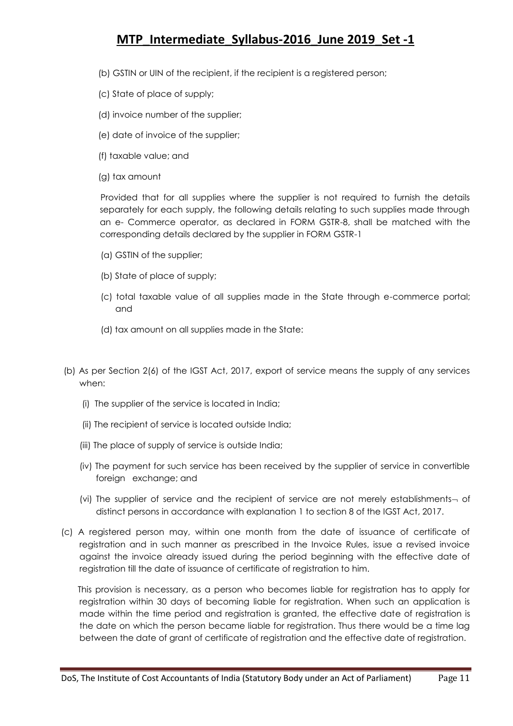- (b) GSTIN or UIN of the recipient, if the recipient is a registered person;
- (c) State of place of supply;
- (d) invoice number of the supplier;
- (e) date of invoice of the supplier;
- (f) taxable value; and
- (g) tax amount

 Provided that for all supplies where the supplier is not required to furnish the details separately for each supply, the following details relating to such supplies made through an e- Commerce operator, as declared in FORM GSTR-8, shall be matched with the corresponding details declared by the supplier in FORM GSTR-1

- (a) GSTIN of the supplier;
- (b) State of place of supply;
- (c) total taxable value of all supplies made in the State through e-commerce portal; and
- (d) tax amount on all supplies made in the State:
- (b) As per Section 2(6) of the IGST Act, 2017, export of service means the supply of any services when:
	- (i) The supplier of the service is located in India;
	- (ii) The recipient of service is located outside India;
	- (iii) The place of supply of service is outside India;
	- (iv) The payment for such service has been received by the supplier of service in convertible foreign exchange; and
	- (vi) The supplier of service and the recipient of service are not merely establishments- of distinct persons in accordance with explanation 1 to section 8 of the IGST Act, 2017.
- (c) A registered person may, within one month from the date of issuance of certificate of registration and in such manner as prescribed in the Invoice Rules, issue a revised invoice against the invoice already issued during the period beginning with the effective date of registration till the date of issuance of certificate of registration to him.

 This provision is necessary, as a person who becomes liable for registration has to apply for registration within 30 days of becoming liable for registration. When such an application is made within the time period and registration is granted, the effective date of registration is the date on which the person became liable for registration. Thus there would be a time lag between the date of grant of certificate of registration and the effective date of registration.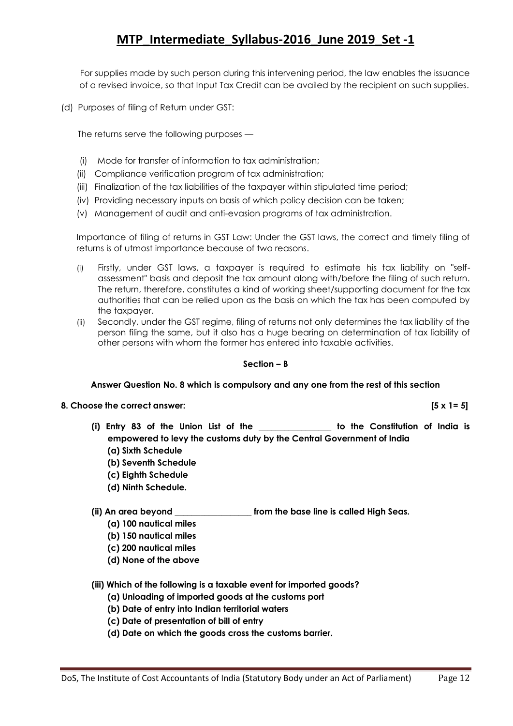For supplies made by such person during this intervening period, the law enables the issuance of a revised invoice, so that Input Tax Credit can be availed by the recipient on such supplies.

(d) Purposes of filing of Return under GST:

The returns serve the following purposes —

- (i) Mode for transfer of information to tax administration;
- (ii) Compliance verification program of tax administration;
- (iii) Finalization of the tax liabilities of the taxpayer within stipulated time period;
- (iv) Providing necessary inputs on basis of which policy decision can be taken;
- (v) Management of audit and anti-evasion programs of tax administration.

Importance of filing of returns in GST Law: Under the GST laws, the correct and timely filing of returns is of utmost importance because of two reasons.

- (i) Firstly, under GST laws, a taxpayer is required to estimate his tax liability on "selfassessment" basis and deposit the tax amount along with/before the filing of such return. The return, therefore, constitutes a kind of working sheet/supporting document for the tax authorities that can be relied upon as the basis on which the tax has been computed by the taxpayer.
- (ii) Secondly, under the GST regime, filing of returns not only determines the tax liability of the person filing the same, but it also has a huge bearing on determination of tax liability of other persons with whom the former has entered into taxable activities.

### **Section – B**

### **Answer Question No. 8 which is compulsory and any one from the rest of this section**

#### **8. Choose the correct answer: [5 x 1= 5]**

- **(i) Entry 83 of the Union List of the \_\_\_\_\_\_\_\_\_\_\_\_\_\_\_\_\_ to the Constitution of India is empowered to levy the customs duty by the Central Government of India (a) Sixth Schedule**
	- **(b) Seventh Schedule**
	- **(c) Eighth Schedule**
	- **(d) Ninth Schedule.**
- **(ii) An area beyond \_\_\_\_\_\_\_\_\_\_\_\_\_\_\_\_\_\_ from the base line is called High Seas.**
	- **(a) 100 nautical miles**
	- **(b) 150 nautical miles**
	- **(c) 200 nautical miles**
	- **(d) None of the above**
- **(iii) Which of the following is a taxable event for imported goods?**
	- **(a) Unloading of imported goods at the customs port**
	- **(b) Date of entry into Indian territorial waters**
	- **(c) Date of presentation of bill of entry**
	- **(d) Date on which the goods cross the customs barrier.**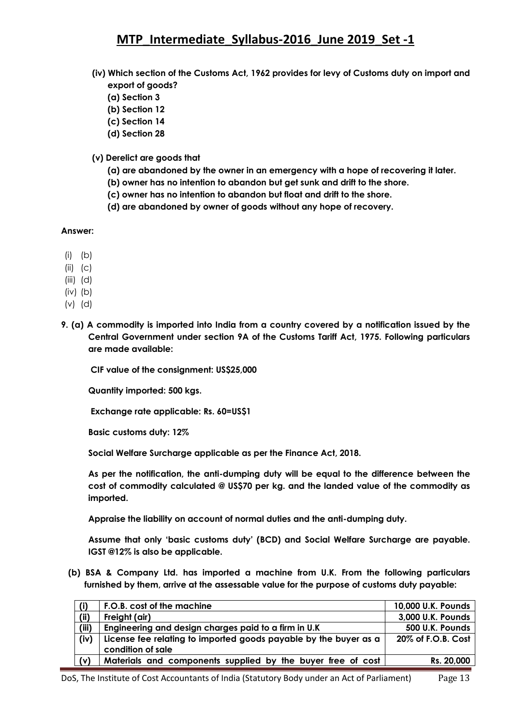- **(iv) Which section of the Customs Act, 1962 provides for levy of Customs duty on import and export of goods?** 
	- **(a) Section 3**
	- **(b) Section 12**
	- **(c) Section 14**
	- **(d) Section 28**
- **(v) Derelict are goods that** 
	- **(a) are abandoned by the owner in an emergency with a hope of recovering it later.**
	- **(b) owner has no intention to abandon but get sunk and drift to the shore.**
	- **(c) owner has no intention to abandon but float and drift to the shore.**
	- **(d) are abandoned by owner of goods without any hope of recovery.**

### **Answer:**

- $(i)$   $(b)$
- (ii) (c)
- (iii) (d)
- (iv) (b)
- (v) (d)
- **9. (a) A commodity is imported into India from a country covered by a notification issued by the Central Government under section 9A of the Customs Tariff Act, 1975. Following particulars are made available:**

**CIF value of the consignment: US\$25,000** 

**Quantity imported: 500 kgs.**

**Exchange rate applicable: Rs. 60=US\$1** 

**Basic customs duty: 12%** 

**Social Welfare Surcharge applicable as per the Finance Act, 2018.** 

**As per the notification, the anti-dumping duty will be equal to the difference between the cost of commodity calculated @ US\$70 per kg. and the landed value of the commodity as imported.** 

**Appraise the liability on account of normal duties and the anti-dumping duty.** 

**Assume that only ‗basic customs duty' (BCD) and Social Welfare Surcharge are payable. IGST @12% is also be applicable.**

 **(b) BSA & Company Ltd. has imported a machine from U.K. From the following particulars furnished by them, arrive at the assessable value for the purpose of customs duty payable:**

| (i)   | F.O.B. cost of the machine                                                            | 10,000 U.K. Pounds |
|-------|---------------------------------------------------------------------------------------|--------------------|
| (ii)  | Freight (air)                                                                         | 3,000 U.K. Pounds  |
| (iii) | Engineering and design charges paid to a firm in U.K                                  | 500 U.K. Pounds    |
| (iv)  | License fee relating to imported goods payable by the buyer as a<br>condition of sale | 20% of F.O.B. Cost |
| (v)   | Materials and components supplied by the buyer free of cost                           | Rs. 20,000         |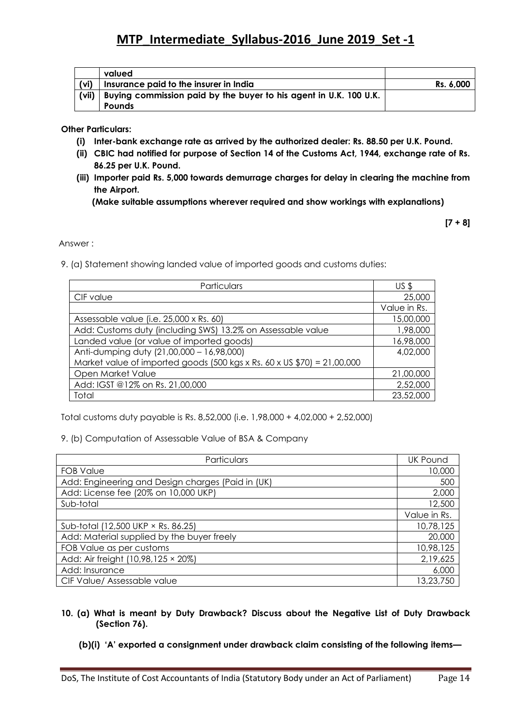|       | valued                                                                             |           |
|-------|------------------------------------------------------------------------------------|-----------|
| (vi)  | Insurance paid to the insurer in India                                             | Rs. 6,000 |
| (vii) | Buying commission paid by the buyer to his agent in U.K. 100 U.K.<br><b>Pounds</b> |           |

**Other Particulars:**

- **(i) Inter-bank exchange rate as arrived by the authorized dealer: Rs. 88.50 per U.K. Pound.**
- **(ii) CBIC had notified for purpose of Section 14 of the Customs Act, 1944, exchange rate of Rs. 86.25 per U.K. Pound.**
- **(iii) Importer paid Rs. 5,000 towards demurrage charges for delay in clearing the machine from the Airport.**

**(Make suitable assumptions wherever required and show workings with explanations)**

**[7 + 8]**

Answer :

9. (a) Statement showing landed value of imported goods and customs duties:

| Particulars                                                               | US <sub>5</sub> |
|---------------------------------------------------------------------------|-----------------|
| CIF value                                                                 | 25,000          |
|                                                                           | Value in Rs.    |
| Assessable value (i.e. 25,000 x Rs. 60)                                   | 15,00,000       |
| Add: Customs duty (including SWS) 13.2% on Assessable value               | 1,98,000        |
| Landed value (or value of imported goods)                                 | 16,98,000       |
| Anti-dumping duty (21,00,000 - 16,98,000)                                 | 4,02,000        |
| Market value of imported goods (500 kgs x Rs. 60 x US $$70$ ) = 21,00,000 |                 |
| Open Market Value                                                         | 21,00,000       |
| Add: IGST @12% on Rs. 21,00,000                                           | 2,52,000        |
| Total                                                                     | 23,52,000       |

Total customs duty payable is Rs. 8,52,000 (i.e. 1,98,000 + 4,02,000 + 2,52,000)

9. (b) Computation of Assessable Value of BSA & Company

| Particulars                                       | <b>UK Pound</b> |
|---------------------------------------------------|-----------------|
| <b>FOB Value</b>                                  | 10,000          |
| Add: Engineering and Design charges (Paid in (UK) | 500             |
| Add: License fee (20% on 10,000 UKP)              | 2,000           |
| Sub-total                                         | 12,500          |
|                                                   | Value in Rs.    |
| Sub-total (12,500 UKP × Rs. 86.25)                | 10,78,125       |
| Add: Material supplied by the buyer freely        | 20,000          |
| FOB Value as per customs                          | 10,98,125       |
| Add: Air freight (10,98,125 × 20%)                | 2,19,625        |
| Add: Insurance                                    | 6,000           |
| CIF Value/ Assessable value                       | 13,23,750       |

- **10. (a) What is meant by Duty Drawback? Discuss about the Negative List of Duty Drawback (Section 76).**
	- **(b)(i) ‗A' exported a consignment under drawback claim consisting of the following items—**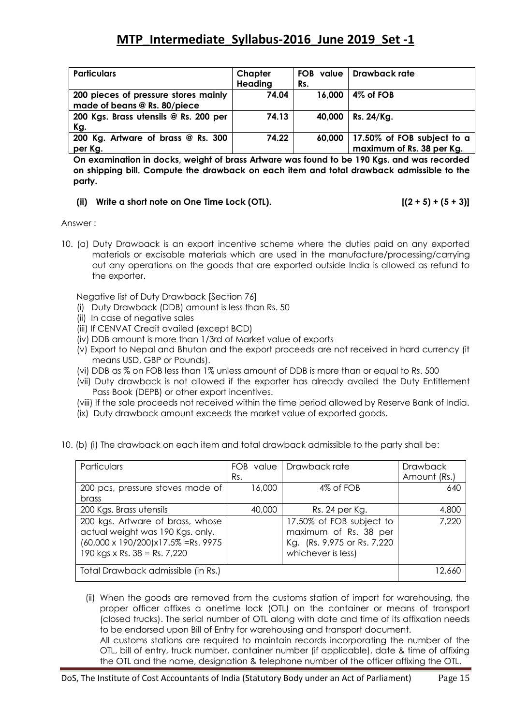| <b>Particulars</b>                    | Chapter | <b>FOB</b> value | Drawback rate              |
|---------------------------------------|---------|------------------|----------------------------|
|                                       | Heading | Rs.              |                            |
| 200 pieces of pressure stores mainly  | 74.04   | 16,000           | 4% of FOB                  |
| made of beans @ Rs. 80/piece          |         |                  |                            |
| 200 Kgs. Brass utensils @ Rs. 200 per | 74.13   | 40,000           | Rs. 24/Ka.                 |
| Kg.                                   |         |                  |                            |
| 200 Kg. Artware of brass @ Rs. 300    | 74.22   | 60,000           | 17.50% of FOB subject to a |
| per Kg.                               |         |                  | maximum of Rs. 38 per Kg.  |

**On examination in docks, weight of brass Artware was found to be 190 Kgs. and was recorded on shipping bill. Compute the drawback on each item and total drawback admissible to the party.**

### **(ii) Write a short note on One Time Lock (OTL). [(2 + 5) + (5 + 3)]**

Answer :

10. (a) Duty Drawback is an export incentive scheme where the duties paid on any exported materials or excisable materials which are used in the manufacture/processing/carrying out any operations on the goods that are exported outside India is allowed as refund to the exporter.

Negative list of Duty Drawback [Section 76]

- (i) Duty Drawback (DDB) amount is less than Rs. 50
- (ii) In case of negative sales
- (iii) If CENVAT Credit availed (except BCD)
- (iv) DDB amount is more than 1/3rd of Market value of exports
- (v) Export to Nepal and Bhutan and the export proceeds are not received in hard currency (it means USD, GBP or Pounds).
- (vi) DDB as % on FOB less than 1% unless amount of DDB is more than or equal to Rs. 500
- (vii) Duty drawback is not allowed if the exporter has already availed the Duty Entitlement Pass Book (DEPB) or other export incentives.
- (viii) If the sale proceeds not received within the time period allowed by Reserve Bank of India.
- (ix) Duty drawback amount exceeds the market value of exported goods.

|  |  |  |  |  | 10. (b) (i) The drawback on each item and total drawback admissible to the party shall be: |  |
|--|--|--|--|--|--------------------------------------------------------------------------------------------|--|
|  |  |  |  |  |                                                                                            |  |

| Particulars                                                                                                                                                 | FOB value<br>Rs. | Drawback rate                                                                                           | <b>Drawback</b><br>Amount (Rs.) |
|-------------------------------------------------------------------------------------------------------------------------------------------------------------|------------------|---------------------------------------------------------------------------------------------------------|---------------------------------|
| 200 pcs, pressure stoves made of<br><b>brass</b>                                                                                                            | 16,000           | 4% of FOB                                                                                               | 640                             |
| 200 Kgs. Brass utensils                                                                                                                                     | 40,000           | Rs. 24 per Kg.                                                                                          | 4,800                           |
| 200 kgs. Artware of brass, whose<br>actual weight was 190 Kgs. only.<br>$(60,000 \times 190/200) \times 17.5\%$ =Rs. 9975<br>190 kgs x Rs. $38 =$ Rs. 7,220 |                  | 17.50% of FOB subject to<br>maximum of Rs. 38 per<br>Kg. (Rs. 9,975 or Rs. 7,220)<br>whichever is less) | 7,220                           |
| Total Drawback admissible (in Rs.)                                                                                                                          | 12.660           |                                                                                                         |                                 |

(ii) When the goods are removed from the customs station of import for warehousing, the proper officer affixes a onetime lock (OTL) on the container or means of transport (closed trucks). The serial number of OTL along with date and time of its affixation needs to be endorsed upon Bill of Entry for warehousing and transport document. All customs stations are required to maintain records incorporating the number of the

OTL, bill of entry, truck number, container number (if applicable), date & time of affixing the OTL and the name, designation & telephone number of the officer affixing the OTL.